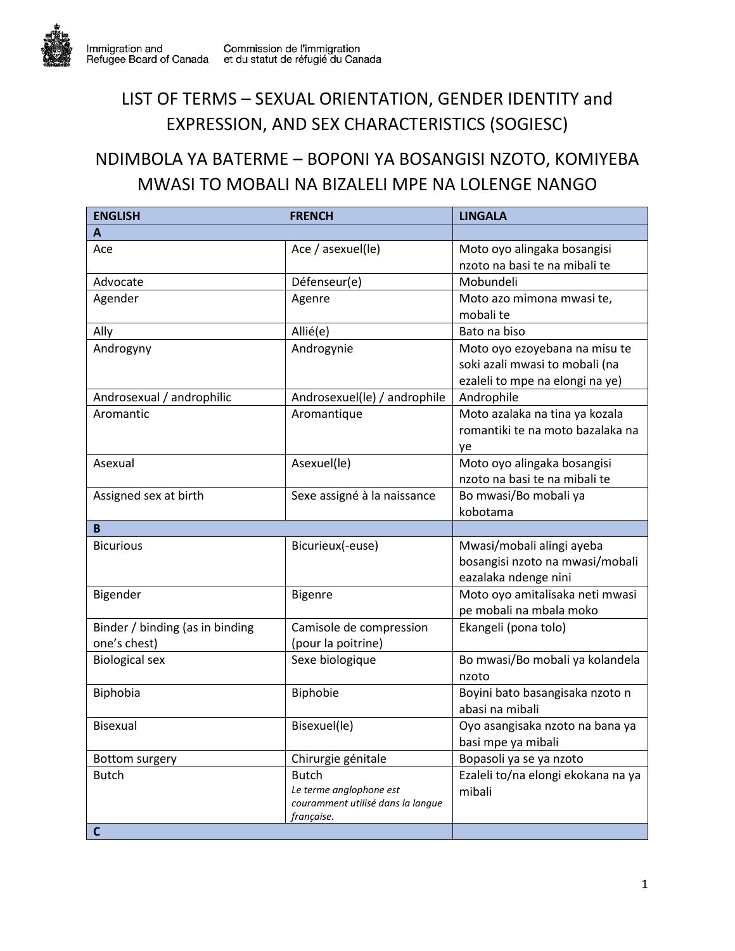## LIST OF TERMS – SEXUAL ORIENTATION, GENDER IDENTITY and EXPRESSION, AND SEX CHARACTERISTICS (SOGIESC)

## NDIMBOLA YA BATERME – BOPONI YA BOSANGISI NZOTO, KOMIYEBA MWASI TO MOBALI NA BIZALELI MPE NA LOLENGE NANGO

| <b>ENGLISH</b>                  | <b>FRENCH</b>                                   | <b>LINGALA</b>                     |
|---------------------------------|-------------------------------------------------|------------------------------------|
| A                               |                                                 |                                    |
| Ace                             | Ace / asexuel(le)                               | Moto oyo alingaka bosangisi        |
|                                 |                                                 | nzoto na basi te na mibali te      |
| Advocate                        | Défenseur(e)                                    | Mobundeli                          |
| Agender                         | Agenre                                          | Moto azo mimona mwasi te,          |
|                                 |                                                 | mobali te                          |
| Ally                            | Allié(e)                                        | Bato na biso                       |
| Androgyny                       | Androgynie                                      | Moto oyo ezoyebana na misu te      |
|                                 |                                                 | soki azali mwasi to mobali (na     |
|                                 |                                                 | ezaleli to mpe na elongi na ye)    |
| Androsexual / androphilic       | Androsexuel(le) / androphile                    | Androphile                         |
| Aromantic                       | Aromantique                                     | Moto azalaka na tina ya kozala     |
|                                 |                                                 | romantiki te na moto bazalaka na   |
|                                 |                                                 | ye                                 |
| Asexual                         | Asexuel(le)                                     | Moto oyo alingaka bosangisi        |
|                                 |                                                 | nzoto na basi te na mibali te      |
| Assigned sex at birth           | Sexe assigné à la naissance                     | Bo mwasi/Bo mobali ya              |
|                                 |                                                 | kobotama                           |
| B                               |                                                 |                                    |
| <b>Bicurious</b>                | Bicurieux(-euse)                                | Mwasi/mobali alingi ayeba          |
|                                 |                                                 | bosangisi nzoto na mwasi/mobali    |
|                                 |                                                 | eazalaka ndenge nini               |
| Bigender                        | <b>Bigenre</b>                                  | Moto oyo amitalisaka neti mwasi    |
|                                 |                                                 | pe mobali na mbala moko            |
| Binder / binding (as in binding | Camisole de compression                         | Ekangeli (pona tolo)               |
| one's chest)                    | (pour la poitrine)                              |                                    |
| <b>Biological sex</b>           | Sexe biologique                                 | Bo mwasi/Bo mobali ya kolandela    |
|                                 |                                                 | nzoto                              |
| Biphobia                        | Biphobie                                        | Boyini bato basangisaka nzoto n    |
|                                 |                                                 | abasi na mibali                    |
| Bisexual                        | Bisexuel(le)                                    | Oyo asangisaka nzoto na bana ya    |
|                                 |                                                 | basi mpe ya mibali                 |
| Bottom surgery                  | Chirurgie génitale                              | Bopasoli ya se ya nzoto            |
| <b>Butch</b>                    | <b>Butch</b>                                    | Ezaleli to/na elongi ekokana na ya |
|                                 | Le terme anglophone est                         | mibali                             |
|                                 | couramment utilisé dans la langue<br>française. |                                    |
| $\mathsf{C}$                    |                                                 |                                    |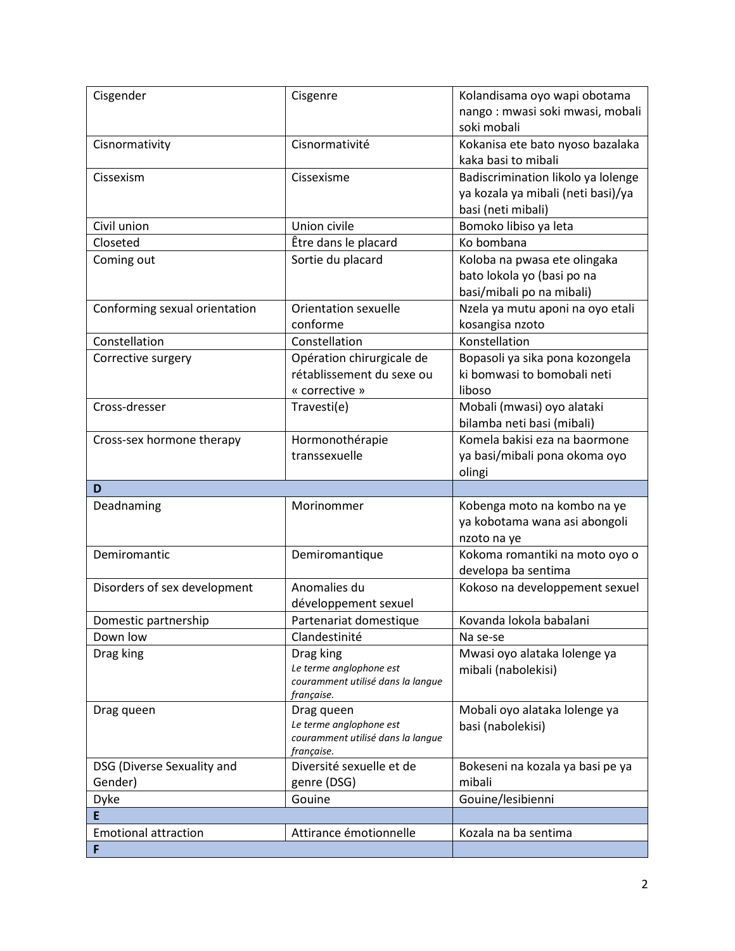| Cisgender                        | Cisgenre                              | Kolandisama oyo wapi obotama       |
|----------------------------------|---------------------------------------|------------------------------------|
|                                  |                                       | nango: mwasi soki mwasi, mobali    |
|                                  |                                       | soki mobali                        |
| Cisnormativity                   | Cisnormativité                        | Kokanisa ete bato nyoso bazalaka   |
|                                  |                                       | kaka basi to mibali                |
| Cissexism                        | Cissexisme                            | Badiscrimination likolo ya lolenge |
|                                  |                                       | ya kozala ya mibali (neti basi)/ya |
|                                  |                                       | basi (neti mibali)                 |
| Civil union                      | Union civile                          | Bomoko libiso ya leta              |
| Closeted                         | Être dans le placard                  | Ko bombana                         |
| Coming out                       | Sortie du placard                     | Koloba na pwasa ete olingaka       |
|                                  |                                       | bato lokola yo (basi po na         |
|                                  |                                       | basi/mibali po na mibali)          |
| Conforming sexual orientation    | Orientation sexuelle                  | Nzela ya mutu aponi na oyo etali   |
|                                  | conforme                              | kosangisa nzoto                    |
| Constellation                    | Constellation                         | Konstellation                      |
| Corrective surgery               | Opération chirurgicale de             | Bopasoli ya sika pona kozongela    |
|                                  | rétablissement du sexe ou             | ki bomwasi to bomobali neti        |
|                                  | « corrective »                        | liboso                             |
| Cross-dresser                    | Travesti(e)                           | Mobali (mwasi) oyo alataki         |
|                                  |                                       | bilamba neti basi (mibali)         |
| Cross-sex hormone therapy        | Hormonothérapie                       | Komela bakisi eza na baormone      |
|                                  | transsexuelle                         | ya basi/mibali pona okoma oyo      |
|                                  |                                       | olingi                             |
| D                                |                                       |                                    |
| Deadnaming                       | Morinommer                            | Kobenga moto na kombo na ye        |
|                                  |                                       |                                    |
|                                  |                                       | ya kobotama wana asi abongoli      |
|                                  |                                       | nzoto na ye                        |
| Demiromantic                     | Demiromantique                        | Kokoma romantiki na moto oyo o     |
|                                  |                                       | developa ba sentima                |
| Disorders of sex development     | Anomalies du                          | Kokoso na developpement sexuel     |
|                                  | développement sexuel                  |                                    |
| Domestic partnership             | Partenariat domestique                | Kovanda lokola babalani            |
| Down low                         | Clandestinité                         | Na se-se                           |
| Drag king                        | Drag king                             | Mwasi oyo alataka lolenge ya       |
|                                  | Le terme anglophone est               | mibali (nabolekisi)                |
|                                  | couramment utilisé dans la langue     |                                    |
| Drag queen                       | française.                            | Mobali oyo alataka lolenge ya      |
|                                  | Drag queen<br>Le terme anglophone est | basi (nabolekisi)                  |
|                                  | couramment utilisé dans la langue     |                                    |
|                                  | française.                            |                                    |
| DSG (Diverse Sexuality and       | Diversité sexuelle et de              | Bokeseni na kozala ya basi pe ya   |
| Gender)                          | genre (DSG)                           | mibali                             |
| <b>Dyke</b>                      | Gouine                                | Gouine/lesibienni                  |
| E                                |                                       |                                    |
| <b>Emotional attraction</b><br>F | Attirance émotionnelle                | Kozala na ba sentima               |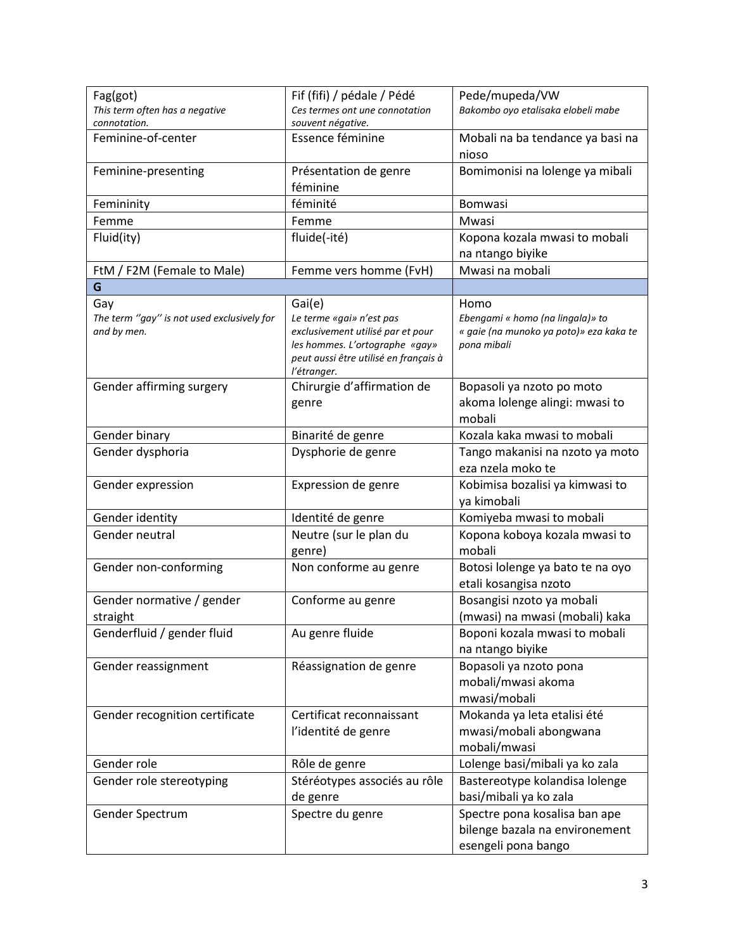| Fag(got)                                                  | Fif (fifi) / pédale / Pédé                                                                      | Pede/mupeda/VW                                                                             |
|-----------------------------------------------------------|-------------------------------------------------------------------------------------------------|--------------------------------------------------------------------------------------------|
| This term often has a negative                            | Ces termes ont une connotation                                                                  | Bakombo oyo etalisaka elobeli mabe                                                         |
| connotation.                                              | souvent négative.                                                                               |                                                                                            |
| Feminine-of-center                                        | Essence féminine                                                                                | Mobali na ba tendance ya basi na<br>nioso                                                  |
| Feminine-presenting                                       | Présentation de genre                                                                           | Bomimonisi na lolenge ya mibali                                                            |
|                                                           | féminine                                                                                        |                                                                                            |
| Femininity                                                | féminité                                                                                        | Bomwasi                                                                                    |
| Femme                                                     | Femme                                                                                           | Mwasi                                                                                      |
| Fluid(ity)                                                | fluide(-ité)                                                                                    | Kopona kozala mwasi to mobali                                                              |
|                                                           |                                                                                                 | na ntango biyike                                                                           |
| FtM / F2M (Female to Male)                                | Femme vers homme (FvH)                                                                          | Mwasi na mobali                                                                            |
| G                                                         |                                                                                                 |                                                                                            |
| Gay                                                       | Gai(e)                                                                                          | Homo                                                                                       |
| The term "gay" is not used exclusively for<br>and by men. | Le terme «gai» n'est pas<br>exclusivement utilisé par et pour<br>les hommes. L'ortographe «gay» | Ebengami « homo (na lingala)» to<br>« gaie (na munoko ya poto)» eza kaka te<br>pona mibali |
|                                                           | peut aussi être utilisé en français à<br>l'étranger.                                            |                                                                                            |
| Gender affirming surgery                                  | Chirurgie d'affirmation de                                                                      | Bopasoli ya nzoto po moto                                                                  |
|                                                           | genre                                                                                           | akoma lolenge alingi: mwasi to                                                             |
|                                                           |                                                                                                 | mobali                                                                                     |
| Gender binary                                             | Binarité de genre                                                                               | Kozala kaka mwasi to mobali                                                                |
| Gender dysphoria                                          | Dysphorie de genre                                                                              | Tango makanisi na nzoto ya moto<br>eza nzela moko te                                       |
| Gender expression                                         | Expression de genre                                                                             | Kobimisa bozalisi ya kimwasi to<br>ya kimobali                                             |
| Gender identity                                           | Identité de genre                                                                               | Komiyeba mwasi to mobali                                                                   |
| Gender neutral                                            | Neutre (sur le plan du<br>genre)                                                                | Kopona koboya kozala mwasi to<br>mobali                                                    |
| Gender non-conforming                                     | Non conforme au genre                                                                           | Botosi lolenge ya bato te na oyo<br>etali kosangisa nzoto                                  |
| Gender normative / gender                                 | Conforme au genre                                                                               | Bosangisi nzoto ya mobali                                                                  |
| straight                                                  |                                                                                                 | (mwasi) na mwasi (mobali) kaka                                                             |
| Genderfluid / gender fluid                                | Au genre fluide                                                                                 | Boponi kozala mwasi to mobali<br>na ntango biyike                                          |
| Gender reassignment                                       | Réassignation de genre                                                                          | Bopasoli ya nzoto pona<br>mobali/mwasi akoma                                               |
|                                                           |                                                                                                 | mwasi/mobali                                                                               |
| Gender recognition certificate                            | Certificat reconnaissant                                                                        | Mokanda ya leta etalisi été                                                                |
|                                                           | l'identité de genre                                                                             | mwasi/mobali abongwana                                                                     |
|                                                           |                                                                                                 | mobali/mwasi                                                                               |
| Gender role                                               | Rôle de genre                                                                                   | Lolenge basi/mibali ya ko zala                                                             |
| Gender role stereotyping                                  | Stéréotypes associés au rôle                                                                    | Bastereotype kolandisa lolenge                                                             |
|                                                           | de genre                                                                                        | basi/mibali ya ko zala                                                                     |
| Gender Spectrum                                           | Spectre du genre                                                                                | Spectre pona kosalisa ban ape                                                              |
|                                                           |                                                                                                 | bilenge bazala na environement                                                             |
|                                                           |                                                                                                 | esengeli pona bango                                                                        |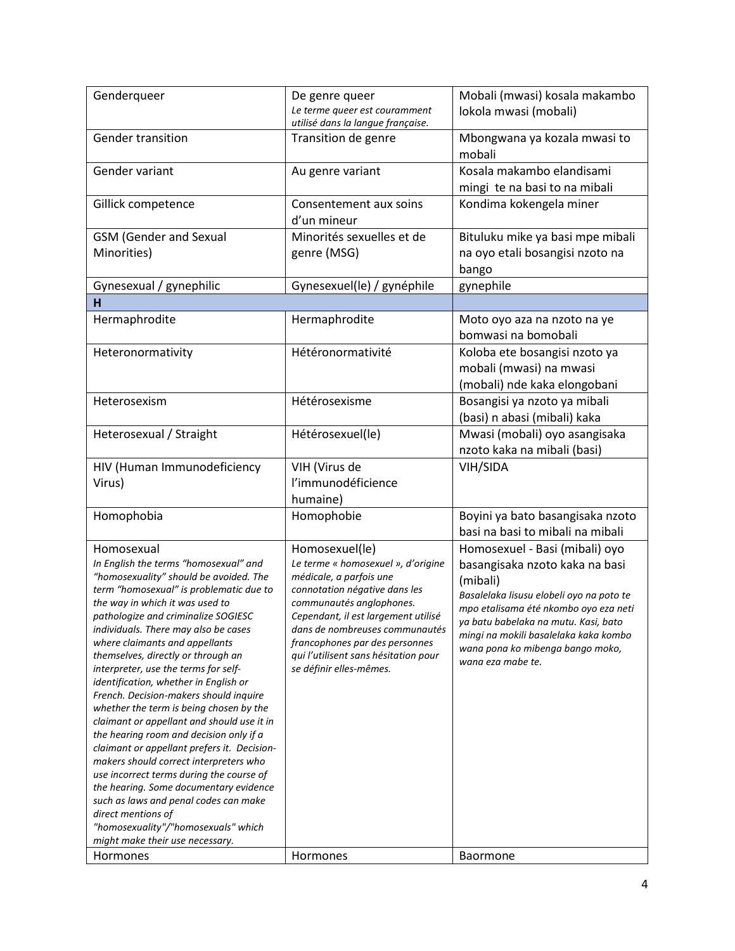| Genderqueer                                                                                                                                                                                                                                                                                                                                                                                                                                                                                                                                                                                                                                                                                                                                                                                                                                                                                                               | De genre queer<br>Le terme queer est couramment<br>utilisé dans la langue française.                                                                                                                                                                                                                                       | Mobali (mwasi) kosala makambo<br>lokola mwasi (mobali)                                                                                                                                                                                                                                                      |
|---------------------------------------------------------------------------------------------------------------------------------------------------------------------------------------------------------------------------------------------------------------------------------------------------------------------------------------------------------------------------------------------------------------------------------------------------------------------------------------------------------------------------------------------------------------------------------------------------------------------------------------------------------------------------------------------------------------------------------------------------------------------------------------------------------------------------------------------------------------------------------------------------------------------------|----------------------------------------------------------------------------------------------------------------------------------------------------------------------------------------------------------------------------------------------------------------------------------------------------------------------------|-------------------------------------------------------------------------------------------------------------------------------------------------------------------------------------------------------------------------------------------------------------------------------------------------------------|
| Gender transition                                                                                                                                                                                                                                                                                                                                                                                                                                                                                                                                                                                                                                                                                                                                                                                                                                                                                                         | Transition de genre                                                                                                                                                                                                                                                                                                        | Mbongwana ya kozala mwasi to<br>mobali                                                                                                                                                                                                                                                                      |
| Gender variant                                                                                                                                                                                                                                                                                                                                                                                                                                                                                                                                                                                                                                                                                                                                                                                                                                                                                                            | Au genre variant                                                                                                                                                                                                                                                                                                           | Kosala makambo elandisami<br>mingi te na basi to na mibali                                                                                                                                                                                                                                                  |
| Gillick competence                                                                                                                                                                                                                                                                                                                                                                                                                                                                                                                                                                                                                                                                                                                                                                                                                                                                                                        | Consentement aux soins<br>d'un mineur                                                                                                                                                                                                                                                                                      | Kondima kokengela miner                                                                                                                                                                                                                                                                                     |
| <b>GSM</b> (Gender and Sexual<br>Minorities)                                                                                                                                                                                                                                                                                                                                                                                                                                                                                                                                                                                                                                                                                                                                                                                                                                                                              | Minorités sexuelles et de<br>genre (MSG)                                                                                                                                                                                                                                                                                   | Bituluku mike ya basi mpe mibali<br>na oyo etali bosangisi nzoto na<br>bango                                                                                                                                                                                                                                |
| Gynesexual / gynephilic                                                                                                                                                                                                                                                                                                                                                                                                                                                                                                                                                                                                                                                                                                                                                                                                                                                                                                   | Gynesexuel(le) / gynéphile                                                                                                                                                                                                                                                                                                 | gynephile                                                                                                                                                                                                                                                                                                   |
| H                                                                                                                                                                                                                                                                                                                                                                                                                                                                                                                                                                                                                                                                                                                                                                                                                                                                                                                         |                                                                                                                                                                                                                                                                                                                            |                                                                                                                                                                                                                                                                                                             |
| Hermaphrodite                                                                                                                                                                                                                                                                                                                                                                                                                                                                                                                                                                                                                                                                                                                                                                                                                                                                                                             | Hermaphrodite                                                                                                                                                                                                                                                                                                              | Moto oyo aza na nzoto na ye<br>bomwasi na bomobali                                                                                                                                                                                                                                                          |
| Heteronormativity                                                                                                                                                                                                                                                                                                                                                                                                                                                                                                                                                                                                                                                                                                                                                                                                                                                                                                         | Hétéronormativité                                                                                                                                                                                                                                                                                                          | Koloba ete bosangisi nzoto ya<br>mobali (mwasi) na mwasi<br>(mobali) nde kaka elongobani                                                                                                                                                                                                                    |
| Heterosexism                                                                                                                                                                                                                                                                                                                                                                                                                                                                                                                                                                                                                                                                                                                                                                                                                                                                                                              | Hétérosexisme                                                                                                                                                                                                                                                                                                              | Bosangisi ya nzoto ya mibali<br>(basi) n abasi (mibali) kaka                                                                                                                                                                                                                                                |
| Heterosexual / Straight                                                                                                                                                                                                                                                                                                                                                                                                                                                                                                                                                                                                                                                                                                                                                                                                                                                                                                   | Hétérosexuel(le)                                                                                                                                                                                                                                                                                                           | Mwasi (mobali) oyo asangisaka<br>nzoto kaka na mibali (basi)                                                                                                                                                                                                                                                |
| HIV (Human Immunodeficiency<br>Virus)                                                                                                                                                                                                                                                                                                                                                                                                                                                                                                                                                                                                                                                                                                                                                                                                                                                                                     | VIH (Virus de<br>l'immunodéficience<br>humaine)                                                                                                                                                                                                                                                                            | VIH/SIDA                                                                                                                                                                                                                                                                                                    |
| Homophobia                                                                                                                                                                                                                                                                                                                                                                                                                                                                                                                                                                                                                                                                                                                                                                                                                                                                                                                | Homophobie                                                                                                                                                                                                                                                                                                                 | Boyini ya bato basangisaka nzoto<br>basi na basi to mibali na mibali                                                                                                                                                                                                                                        |
| Homosexual<br>In English the terms "homosexual" and<br>"homosexuality" should be avoided. The<br>term "homosexual" is problematic due to<br>the way in which it was used to<br>pathologize and criminalize SOGIESC<br>individuals. There may also be cases<br>where claimants and appellants<br>themselves, directly or through an<br>interpreter, use the terms for self-<br>identification, whether in English or<br>French. Decision-makers should inquire<br>whether the term is being chosen by the<br>claimant or appellant and should use it in<br>the hearing room and decision only if a<br>claimant or appellant prefers it. Decision-<br>makers should correct interpreters who<br>use incorrect terms during the course of<br>the hearing. Some documentary evidence<br>such as laws and penal codes can make<br>direct mentions of<br>"homosexuality"/"homosexuals" which<br>might make their use necessary. | Homosexuel(le)<br>Le terme « homosexuel », d'origine<br>médicale, a parfois une<br>connotation négative dans les<br>communautés anglophones.<br>Cependant, il est largement utilisé<br>dans de nombreuses communautés<br>francophones par des personnes<br>qui l'utilisent sans hésitation pour<br>se définir elles-mêmes. | Homosexuel - Basi (mibali) oyo<br>basangisaka nzoto kaka na basi<br>(mibali)<br>Basalelaka lisusu elobeli oyo na poto te<br>mpo etalisama été nkombo oyo eza neti<br>ya batu babelaka na mutu. Kasi, bato<br>mingi na mokili basalelaka kaka kombo<br>wana pona ko mibenga bango moko,<br>wana eza mabe te. |
| Hormones                                                                                                                                                                                                                                                                                                                                                                                                                                                                                                                                                                                                                                                                                                                                                                                                                                                                                                                  | Hormones                                                                                                                                                                                                                                                                                                                   | <b>Baormone</b>                                                                                                                                                                                                                                                                                             |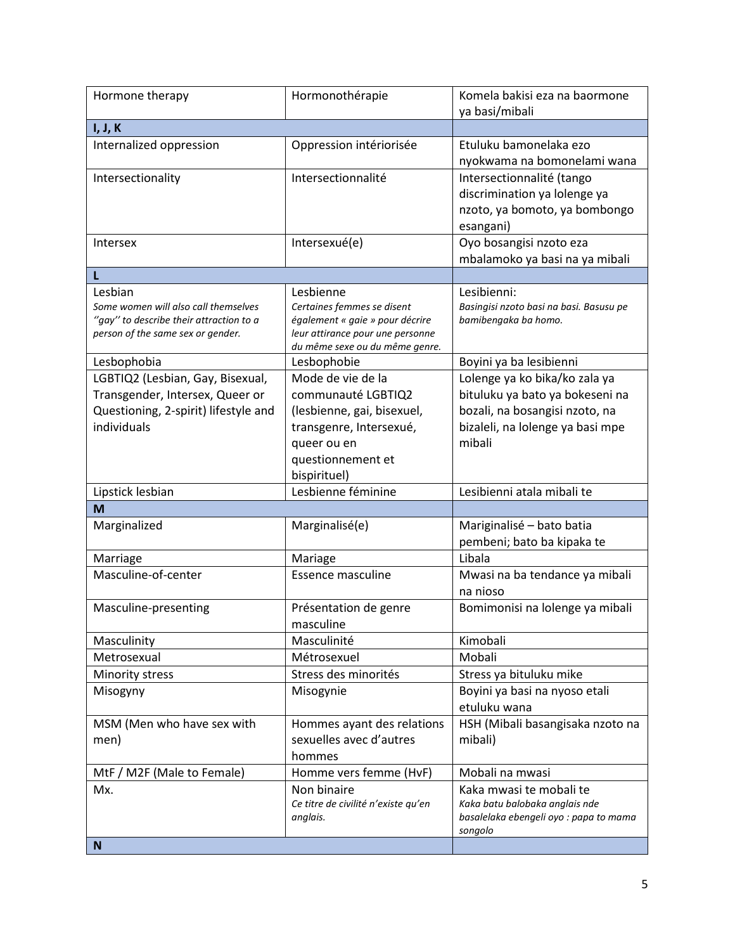| Hormone therapy                         | Hormonothérapie                                                    | Komela bakisi eza na baormone<br>ya basi/mibali   |
|-----------------------------------------|--------------------------------------------------------------------|---------------------------------------------------|
| I, J, K                                 |                                                                    |                                                   |
| Internalized oppression                 | Oppression intériorisée                                            | Etuluku bamonelaka ezo                            |
|                                         |                                                                    | nyokwama na bomonelami wana                       |
| Intersectionality                       | Intersectionnalité                                                 | Intersectionnalité (tango                         |
|                                         |                                                                    | discrimination ya lolenge ya                      |
|                                         |                                                                    | nzoto, ya bomoto, ya bombongo                     |
|                                         |                                                                    | esangani)                                         |
| Intersex                                | Intersexué(e)                                                      | Oyo bosangisi nzoto eza                           |
|                                         |                                                                    | mbalamoko ya basi na ya mibali                    |
| L                                       |                                                                    |                                                   |
| Lesbian                                 | Lesbienne                                                          | Lesibienni:                                       |
| Some women will also call themselves    | Certaines femmes se disent                                         | Basingisi nzoto basi na basi. Basusu pe           |
| "gay" to describe their attraction to a | également « gaie » pour décrire                                    | bamibengaka ba homo.                              |
| person of the same sex or gender.       | leur attirance pour une personne<br>du même sexe ou du même genre. |                                                   |
| Lesbophobia                             | Lesbophobie                                                        | Boyini ya ba lesibienni                           |
| LGBTIQ2 (Lesbian, Gay, Bisexual,        | Mode de vie de la                                                  | Lolenge ya ko bika/ko zala ya                     |
| Transgender, Intersex, Queer or         | communauté LGBTIQ2                                                 | bituluku ya bato ya bokeseni na                   |
| Questioning, 2-spirit) lifestyle and    | (lesbienne, gai, bisexuel,                                         | bozali, na bosangisi nzoto, na                    |
| individuals                             | transgenre, Intersexué,                                            | bizaleli, na lolenge ya basi mpe                  |
|                                         | queer ou en                                                        | mibali                                            |
|                                         | questionnement et                                                  |                                                   |
|                                         | bispirituel)                                                       |                                                   |
| Lipstick lesbian                        | Lesbienne féminine                                                 | Lesibienni atala mibali te                        |
| M                                       |                                                                    |                                                   |
| Marginalized                            | Marginalisé(e)                                                     | Mariginalisé - bato batia                         |
|                                         |                                                                    | pembeni; bato ba kipaka te                        |
| Marriage                                | Mariage                                                            | Libala                                            |
| Masculine-of-center                     | <b>Essence masculine</b>                                           | Mwasi na ba tendance ya mibali                    |
|                                         |                                                                    | na nioso                                          |
| Masculine-presenting                    | Présentation de genre                                              | Bomimonisi na lolenge ya mibali                   |
|                                         | masculine                                                          |                                                   |
| Masculinity                             | Masculinité                                                        | Kimobali                                          |
| Metrosexual                             | Métrosexuel                                                        | Mobali                                            |
| Minority stress                         | Stress des minorités                                               | Stress ya bituluku mike                           |
| Misogyny                                | Misogynie                                                          | Boyini ya basi na nyoso etali                     |
|                                         |                                                                    | etuluku wana                                      |
| MSM (Men who have sex with              | Hommes ayant des relations                                         | HSH (Mibali basangisaka nzoto na                  |
| men)                                    | sexuelles avec d'autres                                            | mibali)                                           |
|                                         | hommes                                                             |                                                   |
| MtF / M2F (Male to Female)              | Homme vers femme (HvF)                                             | Mobali na mwasi                                   |
| Mx.                                     | Non binaire                                                        | Kaka mwasi te mobali te                           |
|                                         | Ce titre de civilité n'existe qu'en                                | Kaka batu balobaka anglais nde                    |
|                                         | anglais.                                                           | basalelaka ebengeli oyo : papa to mama<br>songolo |
| N                                       |                                                                    |                                                   |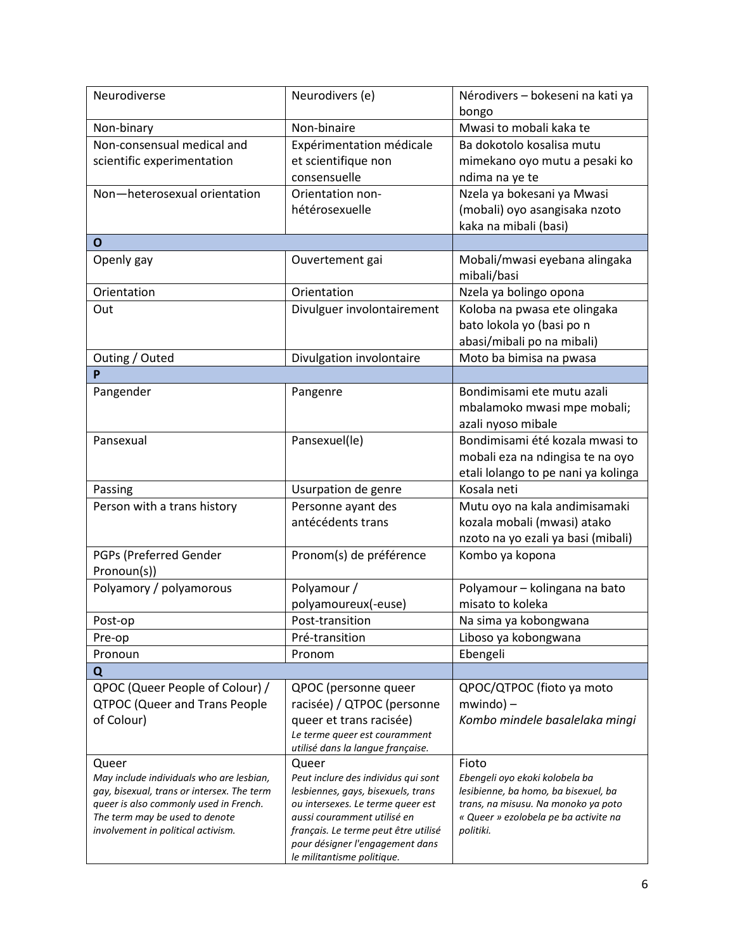| Neurodiverse                                                         | Neurodivers (e)                                                     | Nérodivers - bokeseni na kati ya                   |
|----------------------------------------------------------------------|---------------------------------------------------------------------|----------------------------------------------------|
|                                                                      |                                                                     | bongo                                              |
| Non-binary                                                           | Non-binaire                                                         | Mwasi to mobali kaka te                            |
| Non-consensual medical and                                           | Expérimentation médicale                                            | Ba dokotolo kosalisa mutu                          |
| scientific experimentation                                           | et scientifique non                                                 | mimekano oyo mutu a pesaki ko                      |
|                                                                      | consensuelle                                                        | ndima na ye te                                     |
| Non-heterosexual orientation                                         | Orientation non-                                                    | Nzela ya bokesani ya Mwasi                         |
|                                                                      | hétérosexuelle                                                      | (mobali) oyo asangisaka nzoto                      |
|                                                                      |                                                                     | kaka na mibali (basi)                              |
| $\mathbf{o}$                                                         |                                                                     |                                                    |
| Openly gay                                                           | Ouvertement gai                                                     | Mobali/mwasi eyebana alingaka<br>mibali/basi       |
| Orientation                                                          | Orientation                                                         | Nzela ya bolingo opona                             |
| Out                                                                  | Divulguer involontairement                                          | Koloba na pwasa ete olingaka                       |
|                                                                      |                                                                     | bato lokola yo (basi po n                          |
|                                                                      |                                                                     | abasi/mibali po na mibali)                         |
| Outing / Outed                                                       | Divulgation involontaire                                            | Moto ba bimisa na pwasa                            |
| P                                                                    |                                                                     |                                                    |
| Pangender                                                            | Pangenre                                                            | Bondimisami ete mutu azali                         |
|                                                                      |                                                                     | mbalamoko mwasi mpe mobali;                        |
|                                                                      |                                                                     | azali nyoso mibale                                 |
| Pansexual                                                            | Pansexuel(le)                                                       | Bondimisami été kozala mwasi to                    |
|                                                                      |                                                                     | mobali eza na ndingisa te na oyo                   |
|                                                                      |                                                                     | etali lolango to pe nani ya kolinga                |
| Passing                                                              | Usurpation de genre                                                 | Kosala neti                                        |
| Person with a trans history                                          | Personne ayant des                                                  | Mutu oyo na kala andimisamaki                      |
|                                                                      | antécédents trans                                                   | kozala mobali (mwasi) atako                        |
|                                                                      |                                                                     | nzoto na yo ezali ya basi (mibali)                 |
| PGPs (Preferred Gender                                               | Pronom(s) de préférence                                             | Kombo ya kopona                                    |
| Pronoun(s))                                                          |                                                                     |                                                    |
| Polyamory / polyamorous                                              | Polyamour /                                                         | Polyamour - kolingana na bato                      |
|                                                                      | polyamoureux(-euse)                                                 | misato to koleka                                   |
| Post-op                                                              | Post-transition                                                     | Na sima ya kobongwana                              |
| Pre-op                                                               | Pré-transition                                                      | Liboso ya kobongwana                               |
| Pronoun                                                              | Pronom                                                              | Ebengeli                                           |
| Q                                                                    |                                                                     |                                                    |
| QPOC (Queer People of Colour) /                                      | QPOC (personne queer                                                | QPOC/QTPOC (fioto ya moto                          |
| <b>QTPOC (Queer and Trans People</b>                                 | racisée) / QTPOC (personne                                          | $mwindo$ ) –                                       |
| of Colour)                                                           | queer et trans racisée)                                             | Kombo mindele basalelaka mingi                     |
|                                                                      | Le terme queer est couramment                                       |                                                    |
|                                                                      | utilisé dans la langue française.                                   |                                                    |
| Queer                                                                | Queer                                                               | Fioto                                              |
| May include individuals who are lesbian,                             | Peut inclure des individus qui sont                                 | Ebengeli oyo ekoki kolobela ba                     |
| gay, bisexual, trans or intersex. The term                           | lesbiennes, gays, bisexuels, trans                                  | lesibienne, ba homo, ba bisexuel, ba               |
| queer is also commonly used in French.                               | ou intersexes. Le terme queer est                                   | trans, na misusu. Na monoko ya poto                |
| The term may be used to denote<br>involvement in political activism. | aussi couramment utilisé en<br>français. Le terme peut être utilisé | « Queer » ezolobela pe ba activite na<br>politiki. |
|                                                                      | pour désigner l'engagement dans                                     |                                                    |
|                                                                      | le militantisme politique.                                          |                                                    |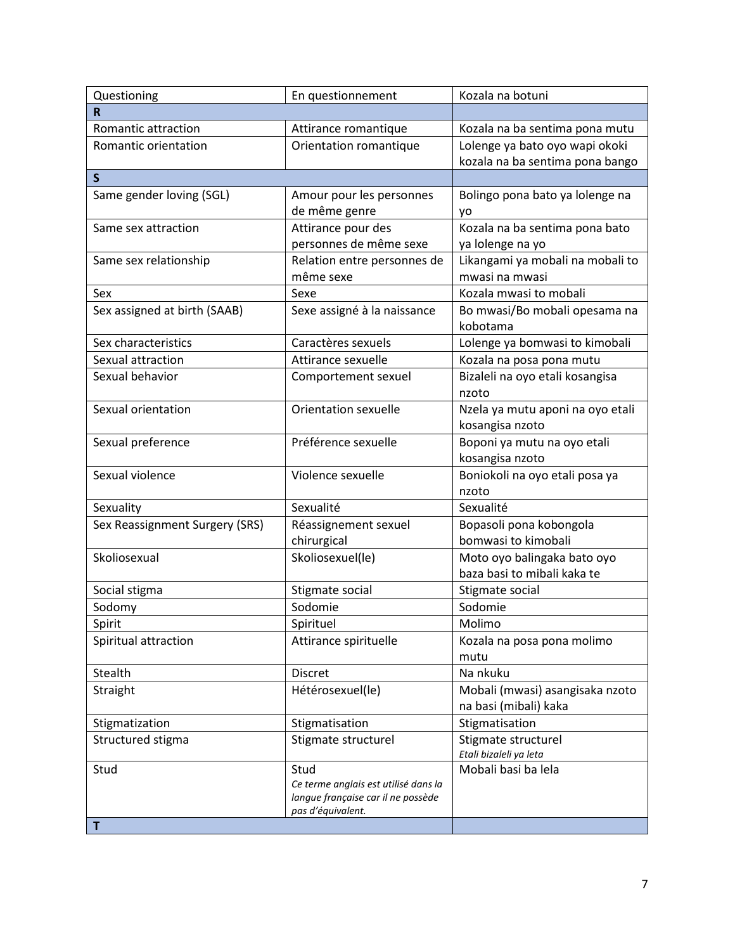| Questioning                    | En questionnement                            | Kozala na botuni                 |
|--------------------------------|----------------------------------------------|----------------------------------|
| R                              |                                              |                                  |
| Romantic attraction            | Attirance romantique                         | Kozala na ba sentima pona mutu   |
| Romantic orientation           | Orientation romantique                       | Lolenge ya bato oyo wapi okoki   |
|                                |                                              | kozala na ba sentima pona bango  |
| $\mathsf{S}$                   |                                              |                                  |
| Same gender loving (SGL)       | Amour pour les personnes                     | Bolingo pona bato ya lolenge na  |
|                                | de même genre                                | yo                               |
| Same sex attraction            | Attirance pour des                           | Kozala na ba sentima pona bato   |
|                                | personnes de même sexe                       | ya lolenge na yo                 |
| Same sex relationship          | Relation entre personnes de                  | Likangami ya mobali na mobali to |
|                                | même sexe                                    | mwasi na mwasi                   |
| Sex                            | Sexe                                         | Kozala mwasi to mobali           |
| Sex assigned at birth (SAAB)   | Sexe assigné à la naissance                  | Bo mwasi/Bo mobali opesama na    |
|                                |                                              | kobotama                         |
| Sex characteristics            | Caractères sexuels                           | Lolenge ya bomwasi to kimobali   |
| Sexual attraction              | Attirance sexuelle                           | Kozala na posa pona mutu         |
| Sexual behavior                | Comportement sexuel                          | Bizaleli na oyo etali kosangisa  |
|                                |                                              | nzoto                            |
| Sexual orientation             | <b>Orientation sexuelle</b>                  | Nzela ya mutu aponi na oyo etali |
|                                |                                              | kosangisa nzoto                  |
| Sexual preference              | Préférence sexuelle                          | Boponi ya mutu na oyo etali      |
|                                |                                              | kosangisa nzoto                  |
| Sexual violence                | Violence sexuelle                            | Boniokoli na oyo etali posa ya   |
|                                |                                              | nzoto                            |
| Sexuality                      | Sexualité                                    | Sexualité                        |
| Sex Reassignment Surgery (SRS) | Réassignement sexuel                         | Bopasoli pona kobongola          |
|                                | chirurgical                                  | bomwasi to kimobali              |
| Skoliosexual                   | Skoliosexuel(le)                             | Moto oyo balingaka bato oyo      |
|                                |                                              | baza basi to mibali kaka te      |
| Social stigma                  | Stigmate social                              | Stigmate social                  |
| Sodomy                         | Sodomie                                      | Sodomie                          |
| Spirit                         | Spirituel                                    | Molimo                           |
| Spiritual attraction           | Attirance spirituelle                        | Kozala na posa pona molimo       |
|                                |                                              | mutu                             |
| Stealth                        | <b>Discret</b>                               | Na nkuku                         |
| Straight                       | Hétérosexuel(le)                             | Mobali (mwasi) asangisaka nzoto  |
|                                |                                              | na basi (mibali) kaka            |
| Stigmatization                 | Stigmatisation                               | Stigmatisation                   |
| Structured stigma              | Stigmate structurel                          | Stigmate structurel              |
|                                |                                              | Etali bizaleli ya leta           |
| Stud                           | Stud<br>Ce terme anglais est utilisé dans la | Mobali basi ba lela              |
|                                | langue française car il ne possède           |                                  |
|                                | pas d'équivalent.                            |                                  |
| T                              |                                              |                                  |